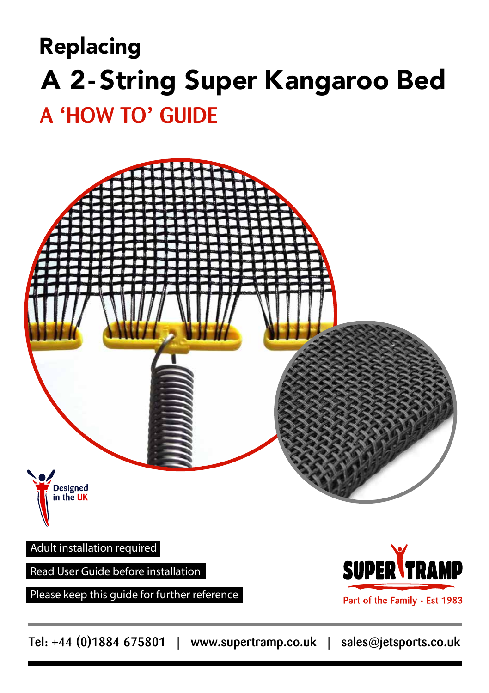# Replacing A 2-String Super Kangaroo Bed

## A **'**HOW TO**'** GUIDE



Please keep this guide for further reference

Part of the Family - Est 1983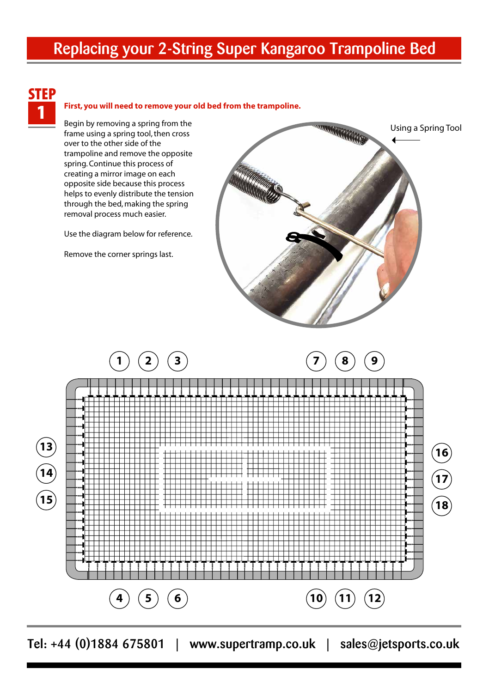### Replacing your 2-String Super Kangaroo Trampoline Bed



#### 1 **First, you will need to remove your old bed from the trampoline.**

Begin by removing a spring from the frame using a spring tool, then cross over to the other side of the trampoline and remove the opposite spring. Continue this process of creating a mirror image on each opposite side because this process helps to evenly distribute the tension through the bed, making the spring removal process much easier.

Use the diagram below for reference.

Remove the corner springs last.



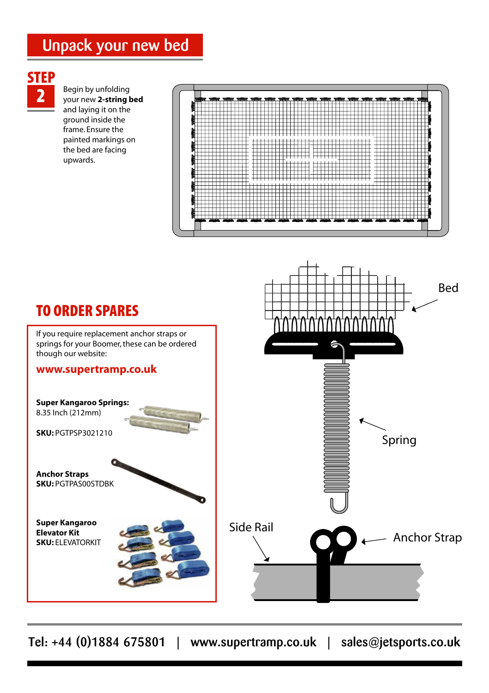### Unpack your new bed

# **STEP**

2 Begin by unfolding your new **2-string bed** and laying it on the ground inside the frame. Ensure the painted markings on the bed are facing upwards.